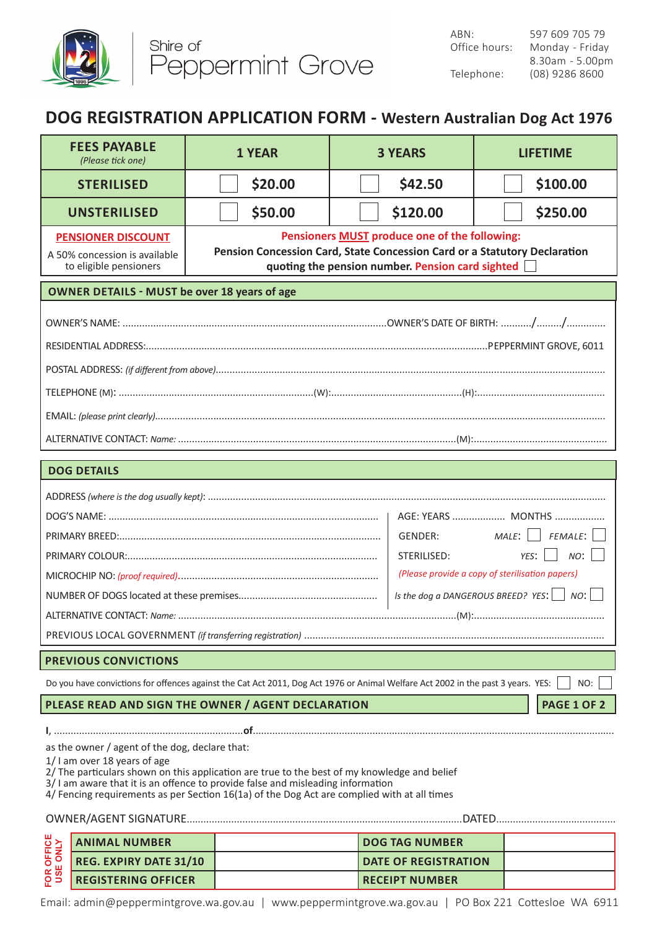

## **DOG REGISTRATION APPLICATION FORM - Western Australian Dog Act 1976**

|                                                                                                                                                                                                                                                                                                                                                                                                                                              | <b>FEES PAYABLE</b><br>(Please tick one)                                             | <b>1 YEAR</b> | <b>3 YEARS</b>                                                                                                                                                                        |  | <b>LIFETIME</b> |  |  |
|----------------------------------------------------------------------------------------------------------------------------------------------------------------------------------------------------------------------------------------------------------------------------------------------------------------------------------------------------------------------------------------------------------------------------------------------|--------------------------------------------------------------------------------------|---------------|---------------------------------------------------------------------------------------------------------------------------------------------------------------------------------------|--|-----------------|--|--|
|                                                                                                                                                                                                                                                                                                                                                                                                                                              | <b>STERILISED</b>                                                                    | \$20.00       | \$42.50                                                                                                                                                                               |  | \$100.00        |  |  |
|                                                                                                                                                                                                                                                                                                                                                                                                                                              | <b>UNSTERILISED</b>                                                                  | \$50.00       | \$120.00                                                                                                                                                                              |  | \$250.00        |  |  |
|                                                                                                                                                                                                                                                                                                                                                                                                                                              | <b>PENSIONER DISCOUNT</b><br>A 50% concession is available<br>to eligible pensioners |               | Pensioners <b>MUST</b> produce one of the following:<br>Pension Concession Card, State Concession Card or a Statutory Declaration<br>quoting the pension number. Pension card sighted |  |                 |  |  |
| <b>OWNER DETAILS - MUST be over 18 years of age</b>                                                                                                                                                                                                                                                                                                                                                                                          |                                                                                      |               |                                                                                                                                                                                       |  |                 |  |  |
|                                                                                                                                                                                                                                                                                                                                                                                                                                              |                                                                                      |               |                                                                                                                                                                                       |  |                 |  |  |
|                                                                                                                                                                                                                                                                                                                                                                                                                                              |                                                                                      |               |                                                                                                                                                                                       |  |                 |  |  |
| $\mathsf{TELEPHONE}\ (\mathsf{M})\text{:}\ \ldots\hspace{-1.5mm}\ldots\hspace{-1.5mm}\ldots\hspace{-1.5mm}\ldots\hspace{-1.5mm}\ldots\hspace{-1.5mm}\ldots\hspace{-1.5mm}\ldots\hspace{-1.5mm}\ldots\hspace{-1.5mm}\ldots\hspace{-1.5mm}\ldots\hspace{-1.5mm}\ldots\hspace{-1.5mm}\ldots\hspace{-1.5mm}\ldots\hspace{-1.5mm}\ldots\hspace{-1.5mm}\ldots\hspace{-1.5mm}\ldots\hspace{-1.5mm}\ldots\hspace{-1.5mm}\ldots\hspace{-1.5mm}\ldots$ |                                                                                      |               |                                                                                                                                                                                       |  |                 |  |  |
|                                                                                                                                                                                                                                                                                                                                                                                                                                              |                                                                                      |               |                                                                                                                                                                                       |  |                 |  |  |
|                                                                                                                                                                                                                                                                                                                                                                                                                                              |                                                                                      |               |                                                                                                                                                                                       |  |                 |  |  |
| <b>DOG DETAILS</b>                                                                                                                                                                                                                                                                                                                                                                                                                           |                                                                                      |               |                                                                                                                                                                                       |  |                 |  |  |
| AGE: YEARS  MONTHS<br>FEMALE:<br>MALE:<br>GENDER:<br>NO:<br>STERILISED:<br>YES:<br>(Please provide a copy of sterilisation papers)<br>Is the dog a DANGEROUS BREED? YES: $ $ NO:                                                                                                                                                                                                                                                             |                                                                                      |               |                                                                                                                                                                                       |  |                 |  |  |
| <b>PREVIOUS CONVICTIONS</b>                                                                                                                                                                                                                                                                                                                                                                                                                  |                                                                                      |               |                                                                                                                                                                                       |  |                 |  |  |
| Do you have convictions for offences against the Cat Act 2011, Dog Act 1976 or Animal Welfare Act 2002 in the past 3 years. YES:<br>NO:<br><b>PAGE 1 OF 2</b><br>PLEASE READ AND SIGN THE OWNER / AGENT DECLARATION                                                                                                                                                                                                                          |                                                                                      |               |                                                                                                                                                                                       |  |                 |  |  |
| as the owner / agent of the dog, declare that:<br>1/ I am over 18 years of age<br>2/ The particulars shown on this application are true to the best of my knowledge and belief<br>3/ I am aware that it is an offence to provide false and misleading information<br>4/ Fencing requirements as per Section 16(1a) of the Dog Act are complied with at all times                                                                             |                                                                                      |               |                                                                                                                                                                                       |  |                 |  |  |
|                                                                                                                                                                                                                                                                                                                                                                                                                                              | <b>ANIMAL NUMBER</b>                                                                 |               | <b>DOG TAG NUMBER</b>                                                                                                                                                                 |  |                 |  |  |
| FOR OFFICE<br>USE ONLY                                                                                                                                                                                                                                                                                                                                                                                                                       | <b>REG. EXPIRY DATE 31/10</b>                                                        |               | <b>DATE OF REGISTRATION</b>                                                                                                                                                           |  |                 |  |  |
|                                                                                                                                                                                                                                                                                                                                                                                                                                              | <b>REGISTERING OFFICER</b>                                                           |               | <b>RECEIPT NUMBER</b>                                                                                                                                                                 |  |                 |  |  |